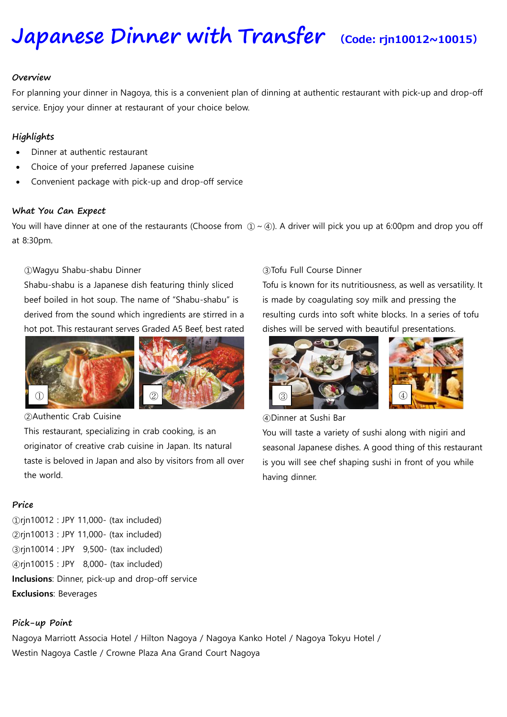# **[Japanese](https://www.viator.com/tours/Nagoya/Japanese-Food-Sample-Making-in-Nagoya/d4701-27453P15) Dinner with Transfer (Code: rjn10012~10015)**

#### **Overview**

For planning your dinner in Nagoya, this is a convenient plan of dinning at authentic restaurant with pick-up and drop-off service. Enjoy your dinner at restaurant of your choice below.

#### **Highlights**

- Dinner at authentic restaurant
- Choice of your preferred Japanese cuisine
- Convenient package with pick-up and drop-off service

#### **What You Can Expect**

You will have dinner at one of the restaurants (Choose from  $(1) \sim (4)$ ). A driver will pick you up at 6:00pm and drop you off at 8:30pm.

#### ①Wagyu Shabu-shabu Dinner

Shabu-shabu is a Japanese dish featuring thinly sliced beef boiled in hot soup. The name of "Shabu-shabu" is derived from the sound which ingredients are stirred in a hot pot. This restaurant serves Graded A5 Beef, best rated





②Authentic Crab Cuisine

This restaurant, specializing in crab cooking, is an originator of creative crab cuisine in Japan. Its natural taste is beloved in Japan and also by visitors from all over the world.

### **Price**

rjn10012 : JPY 11,000- (tax included) rjn10013 : JPY 11,000- (tax included) rjn10014 : JPY 9,500- (tax included) rjn10015 : JPY 8,000- (tax included) **Inclusions**: Dinner, pick-up and drop-off service **Exclusions**: Beverages

# **Pick-up Point**

Nagoya Marriott Associa Hotel / Hilton Nagoya / Nagoya Kanko Hotel / Nagoya Tokyu Hotel / Westin Nagoya Castle / Crowne Plaza Ana Grand Court Nagoya

#### ③Tofu Full Course Dinner

Tofu is known for its nutritiousness, as well as versatility. It is made by coagulating soy milk and pressing the resulting curds into soft white blocks. In a series of tofu dishes will be served with beautiful presentations.





④Dinner at Sushi Bar

You will taste a variety of sushi along with nigiri and seasonal Japanese dishes. A good thing of this restaurant is you will see chef shaping sushi in front of you while having dinner.